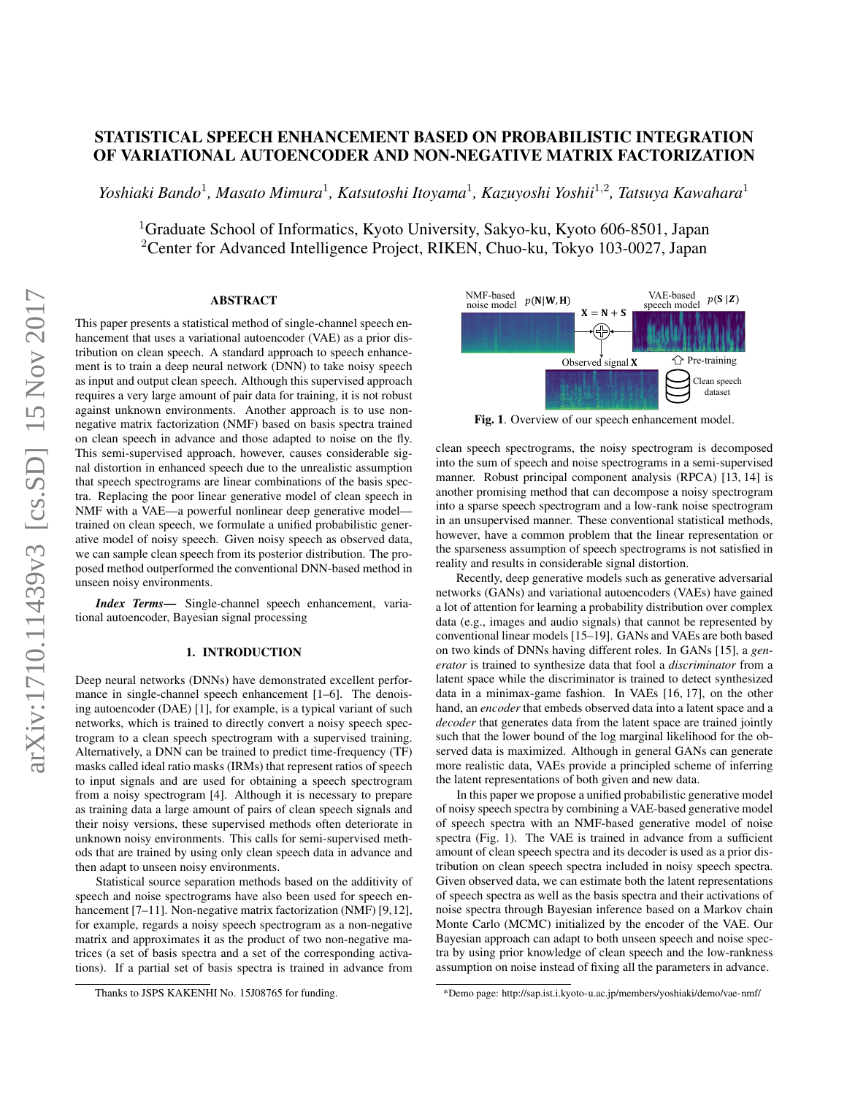# STATISTICAL SPEECH ENHANCEMENT BASED ON PROBABILISTIC INTEGRATION OF VARIATIONAL AUTOENCODER AND NON-NEGATIVE MATRIX FACTORIZATION

Yoshiaki Bando<sup>1</sup>, Masato Mimura<sup>1</sup>, Katsutoshi Itoyama<sup>1</sup>, Kazuyoshi Yoshii<sup>1,2</sup>, Tatsuya Kawahara<sup>1</sup>

<sup>1</sup>Graduate School of Informatics, Kyoto University, Sakyo-ku, Kyoto 606-8501, Japan <sup>2</sup>Center for Advanced Intelligence Project, RIKEN, Chuo-ku, Tokyo 103-0027, Japan

# ABSTRACT

This paper presents a statistical method of single-channel speech enhancement that uses a variational autoencoder (VAE) as a prior distribution on clean speech. A standard approach to speech enhancement is to train a deep neural network (DNN) to take noisy speech as input and output clean speech. Although this supervised approach requires a very large amount of pair data for training, it is not robust against unknown environments. Another approach is to use nonnegative matrix factorization (NMF) based on basis spectra trained on clean speech in advance and those adapted to noise on the fly. This semi-supervised approach, however, causes considerable signal distortion in enhanced speech due to the unrealistic assumption that speech spectrograms are linear combinations of the basis spectra. Replacing the poor linear generative model of clean speech in NMF with a VAE—a powerful nonlinear deep generative modeltrained on clean speech, we formulate a unified probabilistic generative model of noisy speech. Given noisy speech as observed data, we can sample clean speech from its posterior distribution. The proposed method outperformed the conventional DNN-based method in unseen noisy environments.

*Index Terms*— Single-channel speech enhancement, variational autoencoder, Bayesian signal processing

# 1. INTRODUCTION

Deep neural networks (DNNs) have demonstrated excellent perfor-mance in single-channel speech enhancement [\[1–](#page-4-0)[6\]](#page-4-1). The denoising autoencoder (DAE) [\[1\]](#page-4-0), for example, is a typical variant of such networks, which is trained to directly convert a noisy speech spectrogram to a clean speech spectrogram with a supervised training. Alternatively, a DNN can be trained to predict time-frequency (TF) masks called ideal ratio masks (IRMs) that represent ratios of speech to input signals and are used for obtaining a speech spectrogram from a noisy spectrogram [\[4\]](#page-4-2). Although it is necessary to prepare as training data a large amount of pairs of clean speech signals and their noisy versions, these supervised methods often deteriorate in unknown noisy environments. This calls for semi-supervised methods that are trained by using only clean speech data in advance and then adapt to unseen noisy environments.

Statistical source separation methods based on the additivity of speech and noise spectrograms have also been used for speech en-hancement [\[7–](#page-4-3)[11\]](#page-4-4). Non-negative matrix factorization (NMF) [\[9,](#page-4-5)[12\]](#page-4-6), for example, regards a noisy speech spectrogram as a non-negative matrix and approximates it as the product of two non-negative matrices (a set of basis spectra and a set of the corresponding activations). If a partial set of basis spectra is trained in advance from



<span id="page-0-1"></span>Fig. 1. Overview of our speech enhancement model.

clean speech spectrograms, the noisy spectrogram is decomposed into the sum of speech and noise spectrograms in a semi-supervised manner. Robust principal component analysis (RPCA) [\[13,](#page-4-7) [14\]](#page-4-8) is another promising method that can decompose a noisy spectrogram into a sparse speech spectrogram and a low-rank noise spectrogram in an unsupervised manner. These conventional statistical methods, however, have a common problem that the linear representation or the sparseness assumption of speech spectrograms is not satisfied in reality and results in considerable signal distortion.

[R](#page-0-0)ecently, deep generative models such as generative adversarial networks (GANs) and variational autoencoders (VAEs) have gained a lot of attention for learning a probability distribution over complex data (e.g., images and audio signals) that cannot be represented by conventional linear models [\[15–](#page-4-9)[19\]](#page-4-10). GANs and VAEs are both based on two kinds of DNNs having different roles. In GANs [\[15\]](#page-4-9), a *generator* is trained to synthesize data that fool a *discriminator* from a latent space while the discriminator is trained to detect synthesized data in a minimax-game fashion. In VAEs [\[16,](#page-4-11) [17\]](#page-4-12), on the other hand, an *encoder* that embeds observed data into a latent space and a *decoder* that generates data from the latent space are trained jointly such that the lower bound of the log marginal likelihood for the observed data is maximized. Although in general GANs can generate more realistic data, VAEs provide a principled scheme of inferring the latent representations of both given and new data.

In this paper we propose a unified probabilistic generative model of noisy speech spectra by combining a VAE-based generative model of speech spectra with an NMF-based generative model of noise spectra (Fig. [1\)](#page-0-1). The VAE is trained in advance from a sufficient amount of clean speech spectra and its decoder is used as a prior distribution on clean speech spectra included in noisy speech spectra. Given observed data, we can estimate both the latent representations of speech spectra as well as the basis spectra and their activations of noise spectra through Bayesian inference based on a Markov chain Monte Carlo (MCMC) initialized by the encoder of the VAE. Our Bayesian approach can adapt to both unseen speech and noise spectra by using prior knowledge of clean speech and the low-rankness assumption on noise instead of fixing all the parameters in advance.

Thanks to JSPS KAKENHI No. 15J08765 for funding.

<span id="page-0-0"></span><sup>\*</sup>Demo page:<http://sap.ist.i.kyoto-u.ac.jp/members/yoshiaki/demo/vae-nmf/>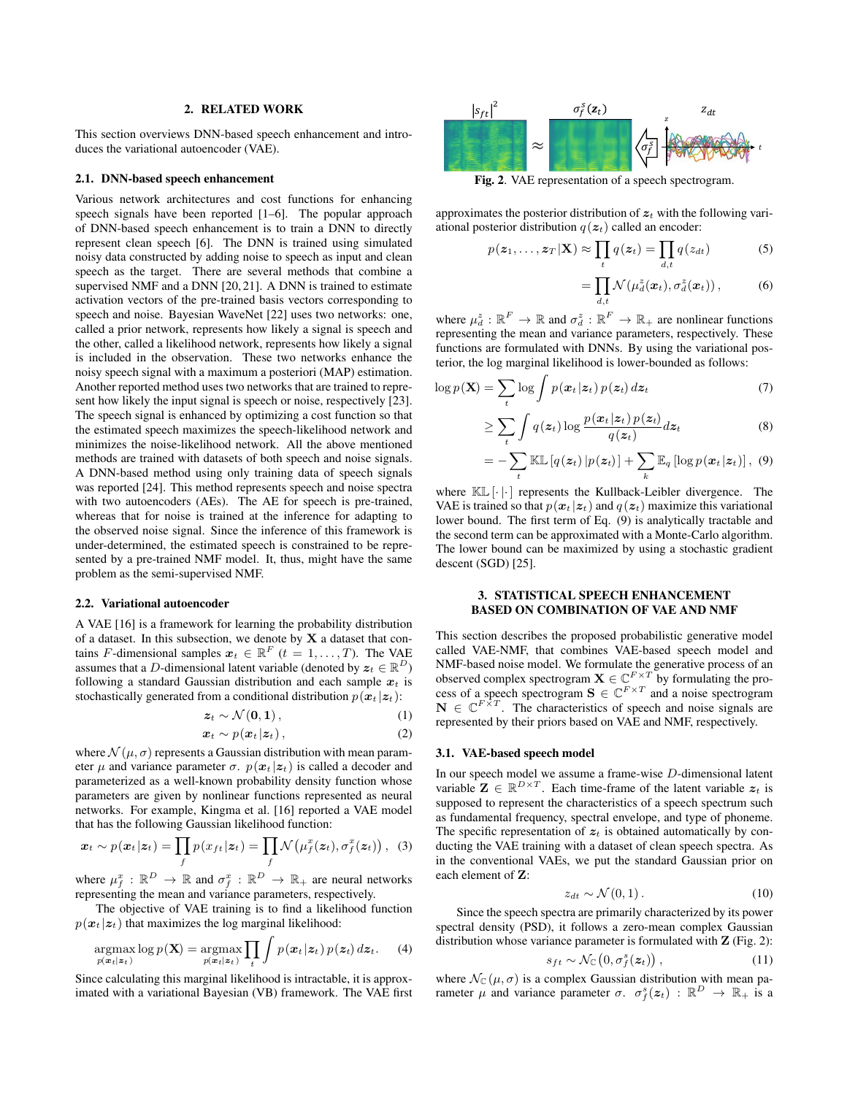## 2. RELATED WORK

This section overviews DNN-based speech enhancement and introduces the variational autoencoder (VAE).

#### 2.1. DNN-based speech enhancement

Various network architectures and cost functions for enhancing speech signals have been reported [\[1–](#page-4-0)[6\]](#page-4-1). The popular approach of DNN-based speech enhancement is to train a DNN to directly represent clean speech [\[6\]](#page-4-1). The DNN is trained using simulated noisy data constructed by adding noise to speech as input and clean speech as the target. There are several methods that combine a supervised NMF and a DNN [\[20,](#page-4-13) [21\]](#page-4-14). A DNN is trained to estimate activation vectors of the pre-trained basis vectors corresponding to speech and noise. Bayesian WaveNet [\[22\]](#page-4-15) uses two networks: one, called a prior network, represents how likely a signal is speech and the other, called a likelihood network, represents how likely a signal is included in the observation. These two networks enhance the noisy speech signal with a maximum a posteriori (MAP) estimation. Another reported method uses two networks that are trained to represent how likely the input signal is speech or noise, respectively [\[23\]](#page-4-16). The speech signal is enhanced by optimizing a cost function so that the estimated speech maximizes the speech-likelihood network and minimizes the noise-likelihood network. All the above mentioned methods are trained with datasets of both speech and noise signals. A DNN-based method using only training data of speech signals was reported [\[24\]](#page-4-17). This method represents speech and noise spectra with two autoencoders (AEs). The AE for speech is pre-trained, whereas that for noise is trained at the inference for adapting to the observed noise signal. Since the inference of this framework is under-determined, the estimated speech is constrained to be represented by a pre-trained NMF model. It, thus, might have the same problem as the semi-supervised NMF.

#### <span id="page-1-4"></span>2.2. Variational autoencoder

A VAE [\[16\]](#page-4-11) is a framework for learning the probability distribution of a dataset. In this subsection, we denote by  $X$  a dataset that contains F-dimensional samples  $\mathbf{x}_t \in \mathbb{R}^F$   $(t = 1, \ldots, T)$ . The VAE assumes that a D-dimensional latent variable (denoted by  $z_t \in \mathbb{R}^D$ ) following a standard Gaussian distribution and each sample  $x_t$  is stochastically generated from a conditional distribution  $p(x_t | z_t)$ :

$$
z_t \sim \mathcal{N}(0, 1), \tag{1}
$$

$$
\boldsymbol{x}_t \sim p(\boldsymbol{x}_t | \boldsymbol{z}_t), \tag{2}
$$

where  $\mathcal{N}(\mu, \sigma)$  represents a Gaussian distribution with mean parameter  $\mu$  and variance parameter  $\sigma$ .  $p(x_t | z_t)$  is called a decoder and parameterized as a well-known probability density function whose parameters are given by nonlinear functions represented as neural networks. For example, Kingma et al. [\[16\]](#page-4-11) reported a VAE model that has the following Gaussian likelihood function:

$$
\boldsymbol{x}_t \sim p(\boldsymbol{x}_t | \boldsymbol{z}_t) = \prod_f p(x_{ft} | \boldsymbol{z}_t) = \prod_f \mathcal{N}\big(\mu_f^x(\boldsymbol{z}_t), \sigma_f^x(\boldsymbol{z}_t)\big), \quad (3)
$$

where  $\mu_f^x : \mathbb{R}^D \to \mathbb{R}$  and  $\sigma_f^x : \mathbb{R}^D \to \mathbb{R}_+$  are neural networks representing the mean and variance parameters, respectively.

The objective of VAE training is to find a likelihood function  $p(x_t | z_t)$  that maximizes the log marginal likelihood:

$$
\underset{p(\boldsymbol{x}_t|\boldsymbol{z}_t)}{\operatorname{argmax}} \log p(\mathbf{X}) = \underset{p(\boldsymbol{x}_t|\boldsymbol{z}_t)}{\operatorname{argmax}} \prod_t \int p(\boldsymbol{x}_t|\boldsymbol{z}_t) \, p(\boldsymbol{z}_t) \, d\boldsymbol{z}_t. \tag{4}
$$

Since calculating this marginal likelihood is intractable, it is approximated with a variational Bayesian (VB) framework. The VAE first



Fig. 2. VAE representation of a speech spectrogram.

approximates the posterior distribution of  $z_t$  with the following variational posterior distribution  $q(z_t)$  called an encoder:

$$
p(\boldsymbol{z}_1,\ldots,\boldsymbol{z}_T|\mathbf{X}) \approx \prod_t q(\boldsymbol{z}_t) = \prod_{d,t} q(z_{dt})
$$
 (5)

<span id="page-1-1"></span><span id="page-1-0"></span>
$$
= \prod_{d,t} \mathcal{N}(\mu_d^z(\boldsymbol{x}_t), \sigma_d^z(\boldsymbol{x}_t)), \qquad (6)
$$

where  $\mu_d^z : \mathbb{R}^F \to \mathbb{R}$  and  $\sigma_d^z : \mathbb{R}^F \to \mathbb{R}_+$  are nonlinear functions representing the mean and variance parameters, respectively. These functions are formulated with DNNs. By using the variational posterior, the log marginal likelihood is lower-bounded as follows:

$$
\log p(\mathbf{X}) = \sum_{t} \log \int p(\mathbf{x}_t | \mathbf{z}_t) p(\mathbf{z}_t) d\mathbf{z}_t \tag{7}
$$

$$
\geq \sum_{t} \int q(\boldsymbol{z}_{t}) \log \frac{p(\boldsymbol{x}_{t}|\boldsymbol{z}_{t}) p(\boldsymbol{z}_{t})}{q(\boldsymbol{z}_{t})} d \boldsymbol{z}_{t}
$$
(8)

$$
= -\sum_{t} \mathbb{KL}\left[q(\boldsymbol{z}_t) | p(\boldsymbol{z}_t)\right] + \sum_{k} \mathbb{E}_q\left[\log p(\boldsymbol{x}_t | \boldsymbol{z}_t)\right], \quad (9)
$$

where  $\mathbb{KL}[\cdot | \cdot]$  represents the Kullback-Leibler divergence. The VAE is trained so that  $p(x_t | z_t)$  and  $q(z_t)$  maximize this variational lower bound. The first term of Eq. [\(9\)](#page-1-0) is analytically tractable and the second term can be approximated with a Monte-Carlo algorithm. The lower bound can be maximized by using a stochastic gradient descent (SGD) [\[25\]](#page-4-18).

# 3. STATISTICAL SPEECH ENHANCEMENT BASED ON COMBINATION OF VAE AND NMF

This section describes the proposed probabilistic generative model called VAE-NMF, that combines VAE-based speech model and NMF-based noise model. We formulate the generative process of an observed complex spectrogram  $\mathbf{X} \in \mathbb{C}^{F \times T}$  by formulating the process of a speech spectrogram  $\mathbf{S} \in \mathbb{C}^{F \times T}$  and a noise spectrogram  $\mathbf{N} \in \mathbb{C}^{F \times T}$ . The characteristics of speech and noise signals are represented by their priors based on VAE and NMF, respectively.

#### 3.1. VAE-based speech model

In our speech model we assume a frame-wise D-dimensional latent variable  $\mathbf{Z} \in \mathbb{R}^{D \times T}$ . Each time-frame of the latent variable  $z_t$  is supposed to represent the characteristics of a speech spectrum such as fundamental frequency, spectral envelope, and type of phoneme. The specific representation of  $z_t$  is obtained automatically by conducting the VAE training with a dataset of clean speech spectra. As in the conventional VAEs, we put the standard Gaussian prior on each element of Z:

<span id="page-1-3"></span><span id="page-1-2"></span>
$$
z_{dt} \sim \mathcal{N}(0, 1). \tag{10}
$$

Since the speech spectra are primarily characterized by its power spectral density (PSD), it follows a zero-mean complex Gaussian distribution whose variance parameter is formulated with  $Z$  (Fig. [2\)](#page-1-1):

$$
s_{ft} \sim \mathcal{N}_{\mathbb{C}}\left(0, \sigma_f^s(z_t)\right),\tag{11}
$$

where  $\mathcal{N}_{\mathbb{C}}(\mu, \sigma)$  is a complex Gaussian distribution with mean parameter  $\mu$  and variance parameter  $\sigma$ .  $\sigma_f^s(z_t)$  :  $\mathbb{R}^D \to \mathbb{R}_+$  is a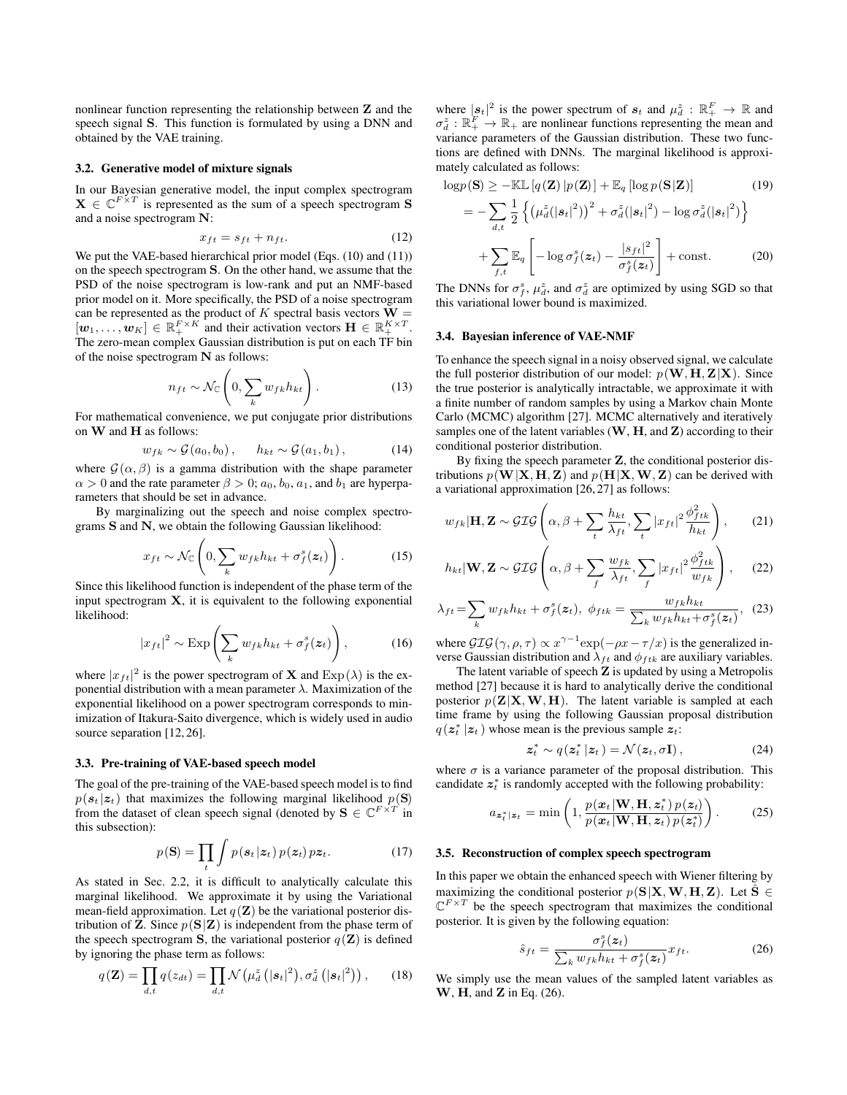nonlinear function representing the relationship between Z and the speech signal S. This function is formulated by using a DNN and obtained by the VAE training.

## 3.2. Generative model of mixture signals

In our Bayesian generative model, the input complex spectrogram  $X \in \mathbb{C}^{F \times T}$  is represented as the sum of a speech spectrogram S and a noise spectrogram N:

$$
x_{ft} = s_{ft} + n_{ft}.\tag{12}
$$

We put the VAE-based hierarchical prior model (Eqs. [\(10\)](#page-1-2) and [\(11\)](#page-1-3)) on the speech spectrogram S. On the other hand, we assume that the PSD of the noise spectrogram is low-rank and put an NMF-based prior model on it. More specifically, the PSD of a noise spectrogram can be represented as the product of K spectral basis vectors  $W =$  $[w_1, \ldots, w_K] \in \mathbb{R}_+^{F \times K}$  and their activation vectors  $\mathbf{H} \in \mathbb{R}_+^{K \times T}$ . The zero-mean complex Gaussian distribution is put on each TF bin of the noise spectrogram N as follows:

$$
n_{ft} \sim \mathcal{N}_{\mathbb{C}}\left(0, \sum_{k} w_{fk} h_{kt}\right). \tag{13}
$$

For mathematical convenience, we put conjugate prior distributions on W and H as follows:

$$
w_{fk} \sim \mathcal{G}(a_0, b_0), \qquad h_{kt} \sim \mathcal{G}(a_1, b_1), \tag{14}
$$

where  $\mathcal{G}(\alpha, \beta)$  is a gamma distribution with the shape parameter  $\alpha > 0$  and the rate parameter  $\beta > 0$ ;  $a_0, b_0, a_1$ , and  $b_1$  are hyperparameters that should be set in advance.

By marginalizing out the speech and noise complex spectrograms S and N, we obtain the following Gaussian likelihood:

$$
x_{ft} \sim \mathcal{N}_{\mathbb{C}}\left(0, \sum_{k} w_{fk} h_{kt} + \sigma_f^s(\boldsymbol{z}_t)\right). \tag{15}
$$

Since this likelihood function is independent of the phase term of the input spectrogram  $X$ , it is equivalent to the following exponential likelihood:

$$
|x_{ft}|^2 \sim \text{Exp}\left(\sum_k w_{fk} h_{kt} + \sigma_f^s(z_t)\right),\tag{16}
$$

where  $|x_{ft}|^2$  is the power spectrogram of **X** and  $Exp(\lambda)$  is the exponential distribution with a mean parameter  $\lambda$ . Maximization of the exponential likelihood on a power spectrogram corresponds to minimization of Itakura-Saito divergence, which is widely used in audio source separation [\[12,](#page-4-6) [26\]](#page-4-19).

#### 3.3. Pre-training of VAE-based speech model

The goal of the pre-training of the VAE-based speech model is to find  $p(s_t | z_t)$  that maximizes the following marginal likelihood  $p(S)$ from the dataset of clean speech signal (denoted by  $\mathbf{S} \in \mathbb{C}^{F \times T}$  in this subsection):

$$
p(\mathbf{S}) = \prod_{t} \int p(\mathbf{s}_t | \mathbf{z}_t) \, p(\mathbf{z}_t) \, p \mathbf{z}_t. \tag{17}
$$

As stated in Sec. [2.2,](#page-1-4) it is difficult to analytically calculate this marginal likelihood. We approximate it by using the Variational mean-field approximation. Let  $q(\mathbf{Z})$  be the variational posterior distribution of **Z**. Since  $p(S|Z)$  is independent from the phase term of the speech spectrogram S, the variational posterior  $q(\mathbf{Z})$  is defined by ignoring the phase term as follows:

$$
q(\mathbf{Z}) = \prod_{d,t} q(z_{dt}) = \prod_{d,t} \mathcal{N}\left(\mu_d^z\left(|\mathbf{s}_t|^2\right), \sigma_d^z\left(|\mathbf{s}_t|^2\right)\right), \qquad (18)
$$

where  $|s_t|^2$  is the power spectrum of  $s_t$  and  $\mu_d^z : \mathbb{R}_+^F \to \mathbb{R}$  and  $\sigma_d^z : \mathbb{R}_+^F \to \mathbb{R}_+$  are nonlinear functions representing the mean and variance parameters of the Gaussian distribution. These two functions are defined with DNNs. The marginal likelihood is approximately calculated as follows:

$$
\log p(\mathbf{S}) \ge -\mathbb{KL}\left[q(\mathbf{Z})\,|\,p(\mathbf{Z})\right] + \mathbb{E}_q\left[\log p(\mathbf{S}|\mathbf{Z})\right] \tag{19}
$$
\n
$$
= -\sum_{d,t} \frac{1}{2} \left\{ \left(\mu_d^z(|\mathbf{s}_t|^2)\right)^2 + \sigma_d^z(|\mathbf{s}_t|^2) - \log \sigma_d^z(|\mathbf{s}_t|^2) \right\}
$$

$$
+\sum_{f,t}\mathbb{E}_q\left[-\log\sigma_f^s(z_t)-\frac{|s_{ft}|^2}{\sigma_f^s(z_t)}\right]+\text{const.}\tag{20}
$$

The DNNs for  $\sigma_f^s$ ,  $\mu_d^z$ , and  $\sigma_d^z$  are optimized by using SGD so that this variational lower bound is maximized.

## 3.4. Bayesian inference of VAE-NMF

To enhance the speech signal in a noisy observed signal, we calculate the full posterior distribution of our model:  $p(\mathbf{W}, \mathbf{H}, \mathbf{Z} | \mathbf{X})$ . Since the true posterior is analytically intractable, we approximate it with a finite number of random samples by using a Markov chain Monte Carlo (MCMC) algorithm [\[27\]](#page-4-20). MCMC alternatively and iteratively samples one of the latent variables  $(W, H, and Z)$  according to their conditional posterior distribution.

By fixing the speech parameter Z, the conditional posterior distributions  $p(\mathbf{W}|\mathbf{X}, \mathbf{H}, \mathbf{Z})$  and  $p(\mathbf{H}|\mathbf{X}, \mathbf{W}, \mathbf{Z})$  can be derived with a variational approximation [\[26,](#page-4-19) [27\]](#page-4-20) as follows:

$$
w_{fk}|\mathbf{H}, \mathbf{Z} \sim \mathcal{GIG}\left(\alpha, \beta + \sum_{t} \frac{h_{kt}}{\lambda_{ft}}, \sum_{t} |x_{ft}|^2 \frac{\phi_{ftk}^2}{h_{kt}}\right), \qquad (21)
$$

$$
h_{kt}|\mathbf{W}, \mathbf{Z} \sim \mathcal{GIG}\left(\alpha, \beta + \sum_{f} \frac{w_{fk}}{\lambda_{ft}}, \sum_{f} |x_{ft}|^2 \frac{\phi_{ftk}^2}{w_{fk}}\right), \quad (22)
$$

$$
\lambda_{ft} = \sum_{k} w_{fk} h_{kt} + \sigma_f^s(z_t), \ \phi_{ftk} = \frac{w_{fk} h_{kt}}{\sum_{k} w_{fk} h_{kt} + \sigma_f^s(z_t)}, \ \ (23)
$$

where  $\mathcal{GIG}(\gamma, \rho, \tau) \propto x^{\gamma - 1} \exp(-\rho x - \tau / x)$  is the generalized inverse Gaussian distribution and  $\lambda_{ft}$  and  $\phi_{ftk}$  are auxiliary variables.

The latent variable of speech  $Z$  is updated by using a Metropolis method [\[27\]](#page-4-20) because it is hard to analytically derive the conditional posterior  $p(\mathbf{Z}|\mathbf{X}, \mathbf{W}, \mathbf{H})$ . The latent variable is sampled at each time frame by using the following Gaussian proposal distribution  $q(\mathbf{z}_t^* | \mathbf{z}_t)$  whose mean is the previous sample  $\mathbf{z}_t$ :

$$
\mathbf{z}_{t}^{*} \sim q(\mathbf{z}_{t}^{*} | \mathbf{z}_{t}) = \mathcal{N}(\mathbf{z}_{t}, \sigma \mathbf{I}), \qquad (24)
$$

where  $\sigma$  is a variance parameter of the proposal distribution. This candidate  $z_t^*$  is randomly accepted with the following probability:

$$
a_{\mathbf{z}_{t}^{*}|\mathbf{z}_{t}} = \min\left(1, \frac{p(\mathbf{x}_{t}|\mathbf{W}, \mathbf{H}, \mathbf{z}_{t}^{*})p(\mathbf{z}_{t})}{p(\mathbf{x}_{t}|\mathbf{W}, \mathbf{H}, \mathbf{z}_{t})p(\mathbf{z}_{t}^{*})}\right). \tag{25}
$$

#### 3.5. Reconstruction of complex speech spectrogram

In this paper we obtain the enhanced speech with Wiener filtering by maximizing the conditional posterior  $p(S|X, W, H, Z)$ . Let  $\hat{S} \in$  $\mathbb{C}^{F \times T}$  be the speech spectrogram that maximizes the conditional posterior. It is given by the following equation:

<span id="page-2-0"></span>
$$
\hat{s}_{ft} = \frac{\sigma_f^s(z_t)}{\sum_k w_{fk} h_{kt} + \sigma_f^s(z_t)} x_{ft}.
$$
\n(26)

We simply use the mean values of the sampled latent variables as W, **H**, and **Z** in Eq. [\(26\)](#page-2-0).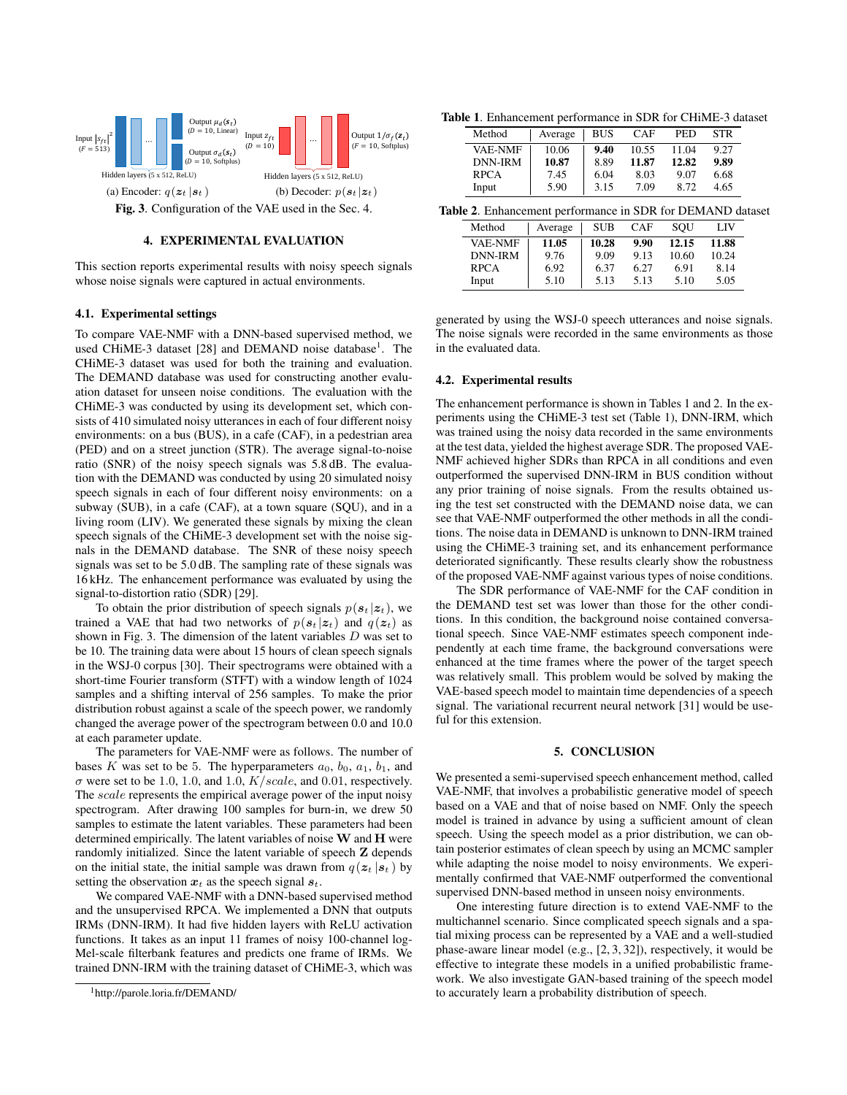

# 4. EXPERIMENTAL EVALUATION

whose noise signals were captured in actual environments. This section reports experimental results with noisy speech signals

## 4.1. Experimental settings

To compare VAE-NMF with a DNN-based supervised method, we used CHiME-3 dataset [\[28\]](#page-4-21) and DEMAND noise database<sup>[1](#page-3-0)</sup>. The CHiME-3 dataset was used for both the training and evaluation. The DEMAND database was used for constructing another evaluation dataset for unseen noise conditions. The evaluation with the CHiME-3 was conducted by using its development set, which consists of 410 simulated noisy utterances in each of four different noisy environments: on a bus (BUS), in a cafe (CAF), in a pedestrian area (PED) and on a street junction (STR). The average signal-to-noise ratio (SNR) of the noisy speech signals was 5.8 dB. The evaluation with the DEMAND was conducted by using 20 simulated noisy speech signals in each of four different noisy environments: on a subway (SUB), in a cafe (CAF), at a town square (SQU), and in a living room (LIV). We generated these signals by mixing the clean speech signals of the CHiME-3 development set with the noise signals in the DEMAND database. The SNR of these noisy speech signals was set to be 5.0 dB. The sampling rate of these signals was 16 kHz. The enhancement performance was evaluated by using the signal-to-distortion ratio (SDR) [\[29\]](#page-4-22).

To obtain the prior distribution of speech signals  $p(s_t | z_t)$ , we trained a VAE that had two networks of  $p(s_t | z_t)$  and  $q(z_t)$  as shown in Fig. [3.](#page-3-1) The dimension of the latent variables  $D$  was set to be 10. The training data were about 15 hours of clean speech signals in the WSJ-0 corpus [\[30\]](#page-4-23). Their spectrograms were obtained with a short-time Fourier transform (STFT) with a window length of 1024 samples and a shifting interval of 256 samples. To make the prior distribution robust against a scale of the speech power, we randomly changed the average power of the spectrogram between 0.0 and 10.0 at each parameter update.

The parameters for VAE-NMF were as follows. The number of bases K was set to be 5. The hyperparameters  $a_0$ ,  $b_0$ ,  $a_1$ ,  $b_1$ , and  $\sigma$  were set to be 1.0, 1.0, and 1.0,  $K/scale$ , and 0.01, respectively. The *scale* represents the empirical average power of the input noisy spectrogram. After drawing 100 samples for burn-in, we drew 50 samples to estimate the latent variables. These parameters had been determined empirically. The latent variables of noise  $W$  and  $H$  were randomly initialized. Since the latent variable of speech Z depends on the initial state, the initial sample was drawn from  $q(z_t | s_t)$  by setting the observation  $x_t$  as the speech signal  $s_t$ .

We compared VAE-NMF with a DNN-based supervised method and the unsupervised RPCA. We implemented a DNN that outputs IRMs (DNN-IRM). It had five hidden layers with ReLU activation functions. It takes as an input 11 frames of noisy 100-channel log-Mel-scale filterbank features and predicts one frame of IRMs. We trained DNN-IRM with the training dataset of CHiME-3, which was

<span id="page-3-2"></span>Table 1. Enhancement performance in SDR for CHiME-3 dataset

| Method         | Average | BUS  | <b>CAF</b> | PED   | <b>STR</b> |
|----------------|---------|------|------------|-------|------------|
| <b>VAE-NMF</b> | 10.06   | 9.40 | 10.55      | 11.04 | 9.27       |
| <b>DNN-IRM</b> | 10.87   | 8.89 | 11.87      | 12.82 | 9.89       |
| <b>RPCA</b>    | 7.45    | 6.04 | 8.03       | 9.07  | 6.68       |
| Input          | 5.90    | 3.15 | 7.09       | 8.72  | 4.65       |

<span id="page-3-3"></span><span id="page-3-1"></span>

|  |  | Table 2. Enhancement performance in SDR for DEMAND dataset |  |
|--|--|------------------------------------------------------------|--|
|  |  |                                                            |  |

| Method         | Average | <b>SUB</b> | <b>CAF</b> | SOU   | LIV   |
|----------------|---------|------------|------------|-------|-------|
| <b>VAE-NMF</b> | 11.05   | 10.28      | 9.90       | 12.15 | 11.88 |
| DNN-IRM        | 9.76    | 9.09       | 9.13       | 10.60 | 10.24 |
| <b>RPCA</b>    | 6.92    | 6.37       | 6.27       | 6.91  | 8.14  |
| Input          | 5.10    | 5.13       | 5.13       | 5.10  | 5.05  |

generated by using the WSJ-0 speech utterances and noise signals. The noise signals were recorded in the same environments as those in the evaluated data.

#### 4.2. Experimental results

The enhancement performance is shown in Tables [1](#page-3-2) and [2.](#page-3-3) In the experiments using the CHiME-3 test set (Table [1\)](#page-3-2), DNN-IRM, which was trained using the noisy data recorded in the same environments at the test data, yielded the highest average SDR. The proposed VAE-NMF achieved higher SDRs than RPCA in all conditions and even outperformed the supervised DNN-IRM in BUS condition without any prior training of noise signals. From the results obtained using the test set constructed with the DEMAND noise data, we can see that VAE-NMF outperformed the other methods in all the conditions. The noise data in DEMAND is unknown to DNN-IRM trained using the CHiME-3 training set, and its enhancement performance deteriorated significantly. These results clearly show the robustness of the proposed VAE-NMF against various types of noise conditions.

The SDR performance of VAE-NMF for the CAF condition in the DEMAND test set was lower than those for the other conditions. In this condition, the background noise contained conversational speech. Since VAE-NMF estimates speech component independently at each time frame, the background conversations were enhanced at the time frames where the power of the target speech was relatively small. This problem would be solved by making the VAE-based speech model to maintain time dependencies of a speech signal. The variational recurrent neural network [\[31\]](#page-4-24) would be useful for this extension.

# 5. CONCLUSION

We presented a semi-supervised speech enhancement method, called VAE-NMF, that involves a probabilistic generative model of speech based on a VAE and that of noise based on NMF. Only the speech model is trained in advance by using a sufficient amount of clean speech. Using the speech model as a prior distribution, we can obtain posterior estimates of clean speech by using an MCMC sampler while adapting the noise model to noisy environments. We experimentally confirmed that VAE-NMF outperformed the conventional supervised DNN-based method in unseen noisy environments.

One interesting future direction is to extend VAE-NMF to the multichannel scenario. Since complicated speech signals and a spatial mixing process can be represented by a VAE and a well-studied phase-aware linear model (e.g., [\[2,](#page-4-25) [3,](#page-4-26) [32\]](#page-4-27)), respectively, it would be effective to integrate these models in a unified probabilistic framework. We also investigate GAN-based training of the speech model to accurately learn a probability distribution of speech.

<span id="page-3-0"></span><sup>1</sup><http://parole.loria.fr/DEMAND/>